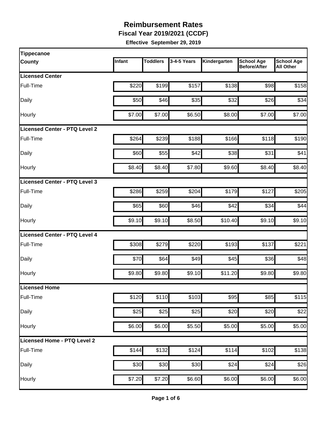**Fiscal Year 2019/2021 (CCDF)** 

| <b>Tippecanoe</b>                    |        |                    |             |              |                                          |                                       |
|--------------------------------------|--------|--------------------|-------------|--------------|------------------------------------------|---------------------------------------|
| <b>County</b>                        | Infant | <b>Toddlers</b>    | 3-4-5 Years | Kindergarten | <b>School Age</b><br><b>Before/After</b> | <b>School Age</b><br><b>All Other</b> |
| <b>Licensed Center</b>               |        |                    |             |              |                                          |                                       |
| Full-Time                            | \$220  | \$199              | \$157       | \$138        | \$98                                     | \$158                                 |
| Daily                                | \$50   | \$46               | \$35        | \$32         | \$26                                     | \$34                                  |
| Hourly                               | \$7.00 | \$7.00             | \$6.50      | \$8.00       | \$7.00                                   | \$7.00                                |
| <b>Licensed Center - PTQ Level 2</b> |        |                    |             |              |                                          |                                       |
| Full-Time                            | \$264  | \$239              | \$188       | \$166        | \$118                                    | \$190                                 |
| Daily                                | \$60   | \$55               | \$42        | \$38         | \$31                                     | \$41                                  |
| Hourly                               | \$8.40 | \$8.40             | \$7.80      | \$9.60       | \$8.40                                   | \$8.40                                |
| Licensed Center - PTQ Level 3        |        |                    |             |              |                                          |                                       |
| Full-Time                            | \$286  | \$259              | \$204       | \$179        | \$127                                    | \$205                                 |
| Daily                                | \$65   | \$60               | \$46        | \$42         | \$34                                     | \$44                                  |
| Hourly                               | \$9.10 | \$9.10             | \$8.50      | \$10.40      | \$9.10                                   | \$9.10                                |
| Licensed Center - PTQ Level 4        |        |                    |             |              |                                          |                                       |
| Full-Time                            | \$308  | \$279              | \$220       | \$193        | \$137                                    | \$221                                 |
| Daily                                | \$70   | \$64               | \$49        | \$45         | \$36                                     | \$48                                  |
| Hourly                               | \$9.80 | \$9.80             | \$9.10      | \$11.20      | \$9.80                                   | \$9.80                                |
| Licensed Home                        |        |                    |             |              |                                          |                                       |
| Full-Time                            | \$120  | \$110              | \$103       | \$95         | \$85                                     | \$115                                 |
| Daily                                | \$25   | \$25               | \$25        | \$20         | \$20                                     | \$22                                  |
| Hourly                               | \$6.00 | \$6.00             | \$5.50      | \$5.00       | \$5.00                                   | \$5.00                                |
| Licensed Home - PTQ Level 2          |        |                    |             |              |                                          |                                       |
| Full-Time                            | \$144  | \$132              | \$124       | \$114        | \$102                                    | \$138                                 |
| Daily                                | \$30   | \$30               | \$30        | \$24         | \$24                                     | \$26                                  |
| Hourly                               | \$7.20 | $\overline{$}7.20$ | \$6.60      | \$6.00       | \$6.00                                   | \$6.00                                |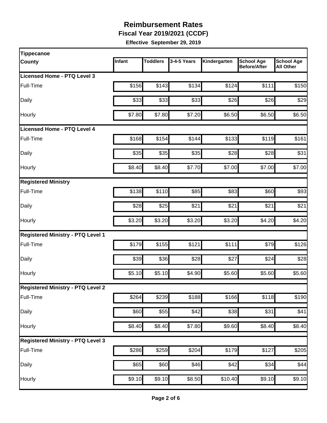**Fiscal Year 2019/2021 (CCDF)** 

| <b>Tippecanoe</b>                        |        |                 |             |              |                                          |                                       |
|------------------------------------------|--------|-----------------|-------------|--------------|------------------------------------------|---------------------------------------|
| <b>County</b>                            | Infant | <b>Toddlers</b> | 3-4-5 Years | Kindergarten | <b>School Age</b><br><b>Before/After</b> | <b>School Age</b><br><b>All Other</b> |
| Licensed Home - PTQ Level 3              |        |                 |             |              |                                          |                                       |
| Full-Time                                | \$156  | \$143           | \$134       | \$124        | \$111                                    | \$150                                 |
| Daily                                    | \$33   | \$33            | \$33        | \$26         | \$26                                     | \$29                                  |
| Hourly                                   | \$7.80 | \$7.80          | \$7.20      | \$6.50       | \$6.50                                   | \$6.50                                |
| Licensed Home - PTQ Level 4              |        |                 |             |              |                                          |                                       |
| Full-Time                                | \$168  | \$154           | \$144       | \$133        | \$119                                    | \$161                                 |
| Daily                                    | \$35   | \$35            | \$35        | \$28         | \$28                                     | \$31                                  |
| Hourly                                   | \$8.40 | \$8.40          | \$7.70      | \$7.00       | \$7.00                                   | \$7.00                                |
| <b>Registered Ministry</b>               |        |                 |             |              |                                          |                                       |
| Full-Time                                | \$138  | \$110           | \$85        | \$83         | \$60                                     | \$93                                  |
| Daily                                    | \$28   | \$25            | \$21        | \$21         | \$21                                     | \$21                                  |
| Hourly                                   | \$3.20 | \$3.20          | \$3.20      | \$3.20       | \$4.20                                   | \$4.20                                |
| <b>Registered Ministry - PTQ Level 1</b> |        |                 |             |              |                                          |                                       |
| Full-Time                                | \$179  | \$155           | \$121       | \$111        | \$79                                     | \$126                                 |
| Daily                                    | \$39   | \$36            | \$28        | \$27         | \$24                                     | \$28                                  |
| Hourly                                   | \$5.10 | \$5.10          | \$4.90      | \$5.60       | \$5.60                                   | \$5.60                                |
| <b>Registered Ministry - PTQ Level 2</b> |        |                 |             |              |                                          |                                       |
| Full-Time                                | \$264  | \$239           | \$188       | \$166        | \$118                                    | \$190                                 |
| Daily                                    | \$60   | \$55            | \$42        | \$38         | \$31                                     | \$41                                  |
| Hourly                                   | \$8.40 | \$8.40          | \$7.80      | \$9.60       | \$8.40                                   | \$8.40                                |
| <b>Registered Ministry - PTQ Level 3</b> |        |                 |             |              |                                          |                                       |
| Full-Time                                | \$286  | \$259           | \$204       | \$179        | \$127                                    | \$205                                 |
| Daily                                    | \$65   | \$60            | \$46        | \$42         | \$34                                     | \$44                                  |
| Hourly                                   | \$9.10 | \$9.10          | \$8.50      | \$10.40      | \$9.10                                   | \$9.10                                |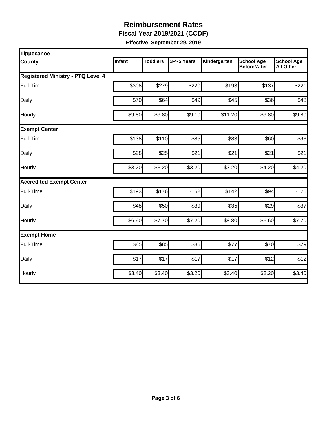**Fiscal Year 2019/2021 (CCDF)** 

| <b>Tippecanoe</b>                        |        |                 |             |              |                                          |                                       |
|------------------------------------------|--------|-----------------|-------------|--------------|------------------------------------------|---------------------------------------|
| <b>County</b>                            | Infant | <b>Toddlers</b> | 3-4-5 Years | Kindergarten | <b>School Age</b><br><b>Before/After</b> | <b>School Age</b><br><b>All Other</b> |
| <b>Registered Ministry - PTQ Level 4</b> |        |                 |             |              |                                          |                                       |
| Full-Time                                | \$308  | \$279           | \$220       | \$193        | \$137                                    | \$221                                 |
| Daily                                    | \$70   | \$64            | \$49        | \$45         | \$36                                     | \$48                                  |
| Hourly                                   | \$9.80 | \$9.80          | \$9.10      | \$11.20      | \$9.80                                   | \$9.80                                |
| <b>Exempt Center</b>                     |        |                 |             |              |                                          |                                       |
| Full-Time                                | \$138  | \$110           | \$85        | \$83         | \$60                                     | \$93                                  |
| Daily                                    | \$28   | \$25            | \$21        | \$21         | \$21                                     | \$21                                  |
| Hourly                                   | \$3.20 | \$3.20          | \$3.20      | \$3.20       | \$4.20                                   | \$4.20                                |
| <b>Accredited Exempt Center</b>          |        |                 |             |              |                                          |                                       |
| Full-Time                                | \$193  | \$176           | \$152       | \$142        | \$94                                     | \$125                                 |
| Daily                                    | \$48   | \$50            | \$39        | \$35         | \$29                                     | \$37                                  |
| Hourly                                   | \$6.90 | \$7.70          | \$7.20      | \$8.80       | \$6.60                                   | \$7.70                                |
| <b>Exempt Home</b>                       |        |                 |             |              |                                          |                                       |
| Full-Time                                | \$85   | \$85            | \$85        | \$77         | \$70                                     | \$79                                  |
| Daily                                    | \$17   | \$17            | \$17        | \$17         | \$12                                     | \$12                                  |
| Hourly                                   | \$3.40 | \$3.40          | \$3.20      | \$3.40       | \$2.20                                   | \$3.40                                |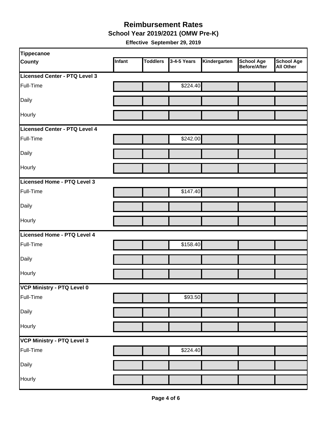#### **Reimbursement Rates School Year 2019/2021 (OMW Pre-K)**

| <b>Tippecanoe</b>                 |        |                 |             |              |                                   |                         |
|-----------------------------------|--------|-----------------|-------------|--------------|-----------------------------------|-------------------------|
| <b>County</b>                     | Infant | <b>Toddlers</b> | 3-4-5 Years | Kindergarten | <b>School Age</b><br>Before/After | School Age<br>All Other |
| Licensed Center - PTQ Level 3     |        |                 |             |              |                                   |                         |
| Full-Time                         |        |                 | \$224.40    |              |                                   |                         |
| Daily                             |        |                 |             |              |                                   |                         |
| Hourly                            |        |                 |             |              |                                   |                         |
| Licensed Center - PTQ Level 4     |        |                 |             |              |                                   |                         |
| Full-Time                         |        |                 | \$242.00    |              |                                   |                         |
| Daily                             |        |                 |             |              |                                   |                         |
| Hourly                            |        |                 |             |              |                                   |                         |
| Licensed Home - PTQ Level 3       |        |                 |             |              |                                   |                         |
| Full-Time                         |        |                 | \$147.40    |              |                                   |                         |
| Daily                             |        |                 |             |              |                                   |                         |
| Hourly                            |        |                 |             |              |                                   |                         |
| Licensed Home - PTQ Level 4       |        |                 |             |              |                                   |                         |
| Full-Time                         |        |                 | \$158.40    |              |                                   |                         |
| Daily                             |        |                 |             |              |                                   |                         |
| Hourly                            |        |                 |             |              |                                   |                         |
| VCP Ministry - PTQ Level 0        |        |                 |             |              |                                   |                         |
| Full-Time                         |        |                 | \$93.50     |              |                                   |                         |
| Daily                             |        |                 |             |              |                                   |                         |
| Hourly                            |        |                 |             |              |                                   |                         |
| <b>VCP Ministry - PTQ Level 3</b> |        |                 |             |              |                                   |                         |
| Full-Time                         |        |                 | \$224.40    |              |                                   |                         |
| Daily                             |        |                 |             |              |                                   |                         |
| Hourly                            |        |                 |             |              |                                   |                         |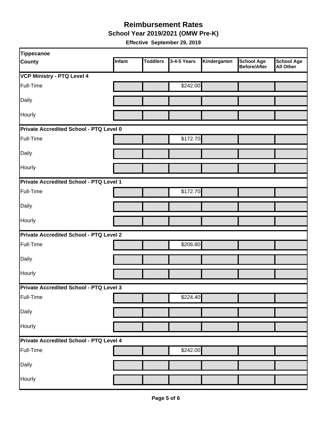**School Year 2019/2021 (OMW Pre-K)** 

| Tippecanoe                                     |        |                 |             |              |                                          |                                       |
|------------------------------------------------|--------|-----------------|-------------|--------------|------------------------------------------|---------------------------------------|
| <b>County</b>                                  | Infant | <b>Toddlers</b> | 3-4-5 Years | Kindergarten | <b>School Age</b><br><b>Before/After</b> | <b>School Age</b><br><b>All Other</b> |
| <b>VCP Ministry - PTQ Level 4</b>              |        |                 |             |              |                                          |                                       |
| Full-Time                                      |        |                 | \$242.00    |              |                                          |                                       |
| Daily                                          |        |                 |             |              |                                          |                                       |
| Hourly                                         |        |                 |             |              |                                          |                                       |
| Private Accredited School - PTQ Level 0        |        |                 |             |              |                                          |                                       |
| Full-Time                                      |        |                 | \$172.70    |              |                                          |                                       |
| Daily                                          |        |                 |             |              |                                          |                                       |
| Hourly                                         |        |                 |             |              |                                          |                                       |
| Private Accredited School - PTQ Level 1        |        |                 |             |              |                                          |                                       |
| Full-Time                                      |        |                 | \$172.70    |              |                                          |                                       |
| Daily                                          |        |                 |             |              |                                          |                                       |
| Hourly                                         |        |                 |             |              |                                          |                                       |
| <b>Private Accredited School - PTQ Level 2</b> |        |                 |             |              |                                          |                                       |
| Full-Time                                      |        |                 | \$206.80    |              |                                          |                                       |
| Daily                                          |        |                 |             |              |                                          |                                       |
| Hourly                                         |        |                 |             |              |                                          |                                       |
| Private Accredited School - PTQ Level 3        |        |                 |             |              |                                          |                                       |
| Full-Time                                      |        |                 | \$224.40    |              |                                          |                                       |
| Daily                                          |        |                 |             |              |                                          |                                       |
| Hourly                                         |        |                 |             |              |                                          |                                       |
| Private Accredited School - PTQ Level 4        |        |                 |             |              |                                          |                                       |
| Full-Time                                      |        |                 | \$242.00    |              |                                          |                                       |
| Daily                                          |        |                 |             |              |                                          |                                       |
| Hourly                                         |        |                 |             |              |                                          |                                       |